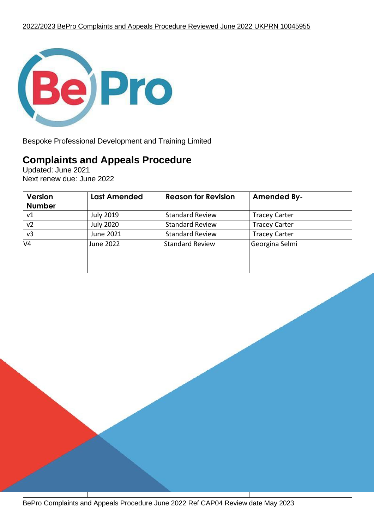

Bespoke Professional Development and Training Limited

#### **Complaints and Appeals Procedure**

Updated: June 2021 Next renew due: June 2022

| Version<br><b>Number</b> | <b>Last Amended</b> | <b>Reason for Revision</b> | <b>Amended By-</b>   |
|--------------------------|---------------------|----------------------------|----------------------|
| v1                       | <b>July 2019</b>    | <b>Standard Review</b>     | <b>Tracey Carter</b> |
| v <sub>2</sub>           | <b>July 2020</b>    | <b>Standard Review</b>     | <b>Tracey Carter</b> |
| v3                       | June 2021           | <b>Standard Review</b>     | <b>Tracey Carter</b> |
| V <sub>4</sub>           | June 2022           | <b>Standard Review</b>     | Georgina Selmi       |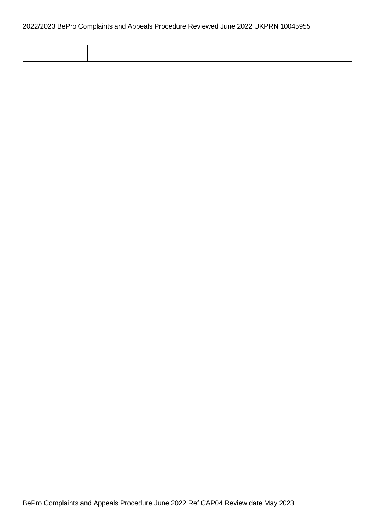#### 2022/2023 BePro Complaints and Appeals Procedure Reviewed June 2022 UKPRN 10045955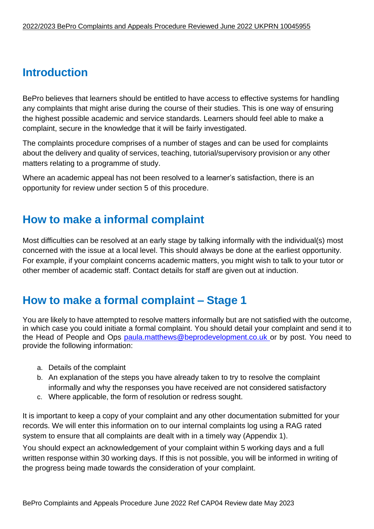## **Introduction**

BePro believes that learners should be entitled to have access to effective systems for handling any complaints that might arise during the course of their studies. This is one way of ensuring the highest possible academic and service standards. Learners should feel able to make a complaint, secure in the knowledge that it will be fairly investigated.

The complaints procedure comprises of a number of stages and can be used for complaints about the delivery and quality of services, teaching, tutorial/supervisory provision or any other matters relating to a programme of study.

Where an academic appeal has not been resolved to a learner's satisfaction, there is an opportunity for review under section 5 of this procedure.

#### **How to make a informal complaint**

Most difficulties can be resolved at an early stage by talking informally with the individual(s) most concerned with the issue at a local level. This should always be done at the earliest opportunity. For example, if your complaint concerns academic matters, you might wish to talk to your tutor or other member of academic staff. Contact details for staff are given out at induction.

## **How to make a formal complaint – Stage 1**

You are likely to have attempted to resolve matters informally but are not satisfied with the outcome, in which case you could initiate a formal complaint. You should detail your complaint and send it to the Head of People and Ops [paula.matthews@beprodevelopment.co.uk o](mailto:paula.matthews@beprodevelopment.co.uk)r by post. You need to provide the following information:

- a. Details of the complaint
- b. An explanation of the steps you have already taken to try to resolve the complaint informally and why the responses you have received are not considered satisfactory
- c. Where applicable, the form of resolution or redress sought.

It is important to keep a copy of your complaint and any other documentation submitted for your records. We will enter this information on to our internal complaints log using a RAG rated system to ensure that all complaints are dealt with in a timely way (Appendix 1).

You should expect an acknowledgement of your complaint within 5 working days and a full written response within 30 working days. If this is not possible, you will be informed in writing of the progress being made towards the consideration of your complaint.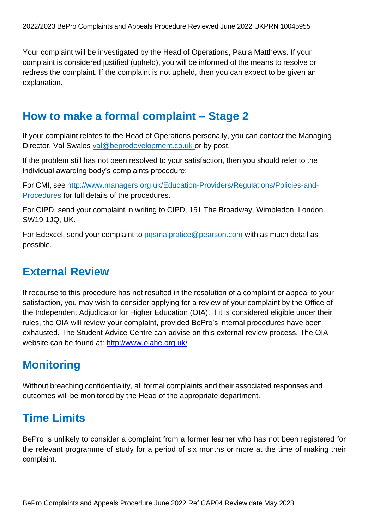Your complaint will be investigated by the Head of Operations, Paula Matthews. If your complaint is considered justified (upheld), you will be informed of the means to resolve or redress the complaint. If the complaint is not upheld, then you can expect to be given an explanation.

## **How to make a formal complaint – Stage 2**

If your complaint relates to the Head of Operations personally, you can contact the Managing Director, Val Swales [val@beprodevelopment.co.uk o](mailto:val@beprodevelopment.co.uk)r by post.

If the problem still has not been resolved to your satisfaction, then you should refer to the individual awarding body's complaints procedure:

For CMI, see [http://www.managers.org.uk/Education-Providers/Regulations/Policies-and-](http://www.managers.org.uk/Education-Providers/Regulations/Policies-and-Procedures)[Procedures](http://www.managers.org.uk/Education-Providers/Regulations/Policies-and-Procedures) for full details of the procedures.

For CIPD, send your complaint in writing to CIPD, 151 The Broadway, Wimbledon, London SW19 1JQ, UK.

For Edexcel, send your complaint to [pqsmalpratice@pearson.com](mailto:pqsmalpractice@pearson.com) with as much detail as possible.

#### **External Review**

If recourse to this procedure has not resulted in the resolution of a complaint or appeal to your satisfaction, you may wish to consider applying for a review of your complaint by the Office of the Independent Adjudicator for Higher Education (OIA). If it is considered eligible under their rules, the OIA will review your complaint, provided BePro's internal procedures have been exhausted. The Student Advice Centre can advise on this external review process. The OIA website can be found at:<http://www.oiahe.org.uk/>

# **Monitoring**

Without breaching confidentiality, all formal complaints and their associated responses and outcomes will be monitored by the Head of the appropriate department.

# **Time Limits**

BePro is unlikely to consider a complaint from a former learner who has not been registered for the relevant programme of study for a period of six months or more at the time of making their complaint.